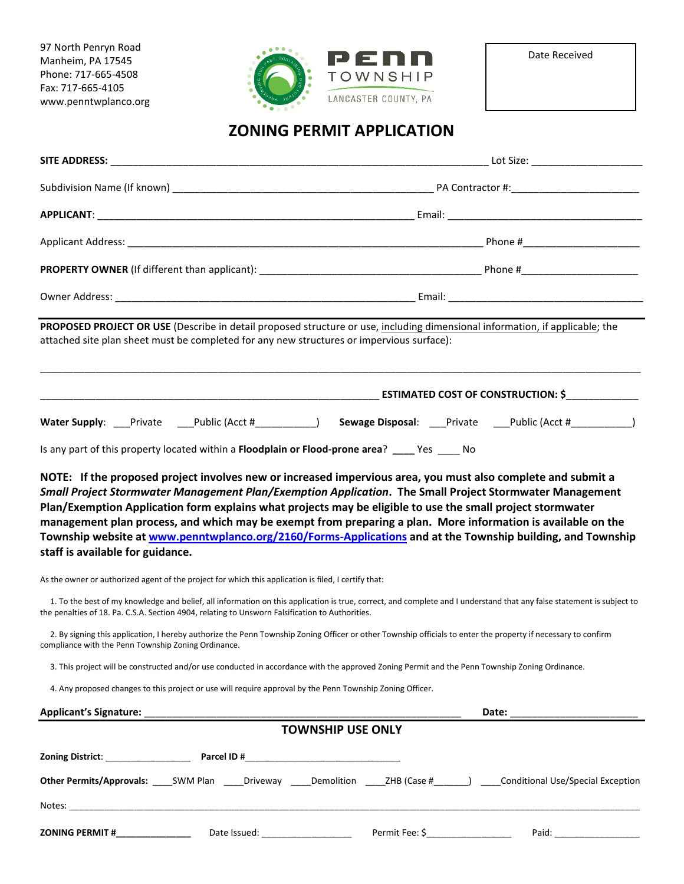97 North Penryn Road Manheim, PA 17545 Phone: 717-665-4508 Fax: 717-665-4105 www.penntwplanco.org



## **ZONING PERMIT APPLICATION**

| PROPOSED PROJECT OR USE (Describe in detail proposed structure or use, including dimensional information, if applicable; the<br>attached site plan sheet must be completed for any new structures or impervious surface):                                      |                                                                                                                                                                       |
|----------------------------------------------------------------------------------------------------------------------------------------------------------------------------------------------------------------------------------------------------------------|-----------------------------------------------------------------------------------------------------------------------------------------------------------------------|
|                                                                                                                                                                                                                                                                |                                                                                                                                                                       |
|                                                                                                                                                                                                                                                                | Water Supply: ___Private ____Public (Acct #___________) Sewage Disposal: ___Private ____Public (Acct #__________)                                                     |
| Is any part of this property located within a Floodplain or Flood-prone area? ____ Yes ____ No                                                                                                                                                                 |                                                                                                                                                                       |
| Plan/Exemption Application form explains what projects may be eligible to use the small project stormwater<br>management plan process, and which may be exempt from preparing a plan. More information is available on the<br>staff is available for guidance. | Township website at www.penntwplanco.org/2160/Forms-Applications and at the Township building, and Township                                                           |
| As the owner or authorized agent of the project for which this application is filed, I certify that:                                                                                                                                                           |                                                                                                                                                                       |
| the penalties of 18. Pa. C.S.A. Section 4904, relating to Unsworn Falsification to Authorities.                                                                                                                                                                | 1. To the best of my knowledge and belief, all information on this application is true, correct, and complete and I understand that any false statement is subject to |
| 2. By signing this application, I hereby authorize the Penn Township Zoning Officer or other Township officials to enter the property if necessary to confirm<br>compliance with the Penn Township Zoning Ordinance.                                           |                                                                                                                                                                       |
| 3. This project will be constructed and/or use conducted in accordance with the approved Zoning Permit and the Penn Township Zoning Ordinance.                                                                                                                 |                                                                                                                                                                       |
| 4. Any proposed changes to this project or use will require approval by the Penn Township Zoning Officer.                                                                                                                                                      |                                                                                                                                                                       |
|                                                                                                                                                                                                                                                                | Date: ___________________________                                                                                                                                     |
|                                                                                                                                                                                                                                                                | <b>TOWNSHIP USE ONLY</b>                                                                                                                                              |
|                                                                                                                                                                                                                                                                |                                                                                                                                                                       |
|                                                                                                                                                                                                                                                                | Other Permits/Approvals: SWM Plan Driveway Demolition 2HB (Case # Conditional Use/Special Exception                                                                   |
|                                                                                                                                                                                                                                                                |                                                                                                                                                                       |
| <b>ZONING PERMIT #</b> _____________________Date Issued: _____________________________                                                                                                                                                                         | Permit Fee: \$____________________                                                                                                                                    |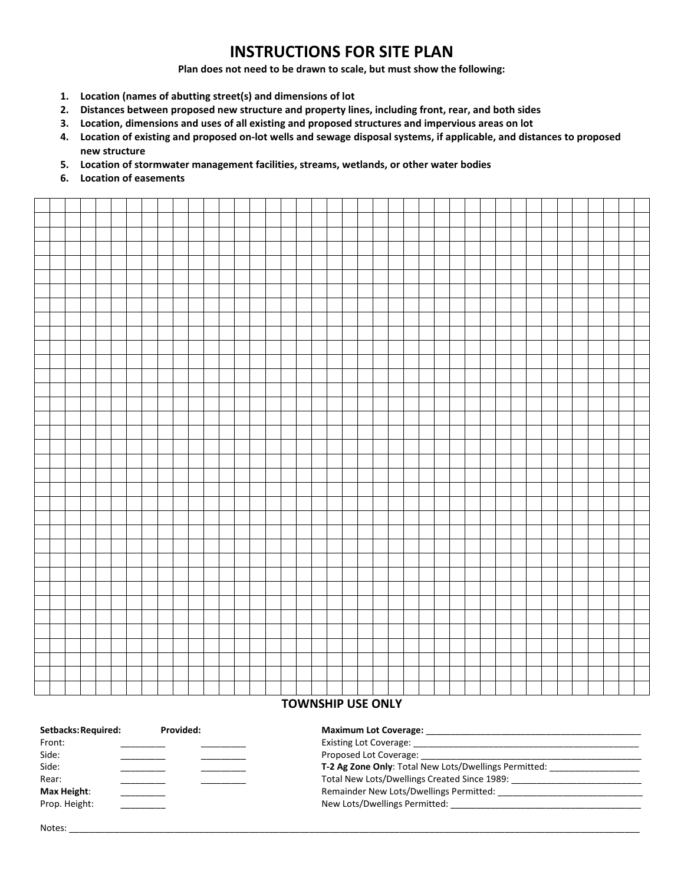## **INSTRUCTIONS FOR SITE PLAN**

**Plan does not need to be drawn to scale, but must show the following:**

- **1. Location (names of abutting street(s) and dimensions of lot**
- **2. Distances between proposed new structure and property lines, including front, rear, and both sides**
- **3. Location, dimensions and uses of all existing and proposed structures and impervious areas on lot**
- **4. Location of existing and proposed on-lot wells and sewage disposal systems, if applicable, and distances to proposed new structure**
- **5. Location of stormwater management facilities, streams, wetlands, or other water bodies**
- **6. Location of easements**



## **TOWNSHIP USE ONLY**

| Setbacks: Required: | Provided: | <b>Maximum Lot Coverage:</b>                                 |  |
|---------------------|-----------|--------------------------------------------------------------|--|
| Front:              |           |                                                              |  |
| Side:               |           |                                                              |  |
| Side:               |           | <b>T-2 Ag Zone Only:</b> Total New Lots/Dwellings Permitted: |  |
| Rear:               |           | Total New Lots/Dwellings Created Since 1989:                 |  |
| Max Height:         |           | Remainder New Lots/Dwellings Permitted:                      |  |
| Prop. Height:       |           | New Lots/Dwellings Permitted: ___________                    |  |
|                     |           |                                                              |  |

| Notes: | __________ |
|--------|------------|
|        |            |